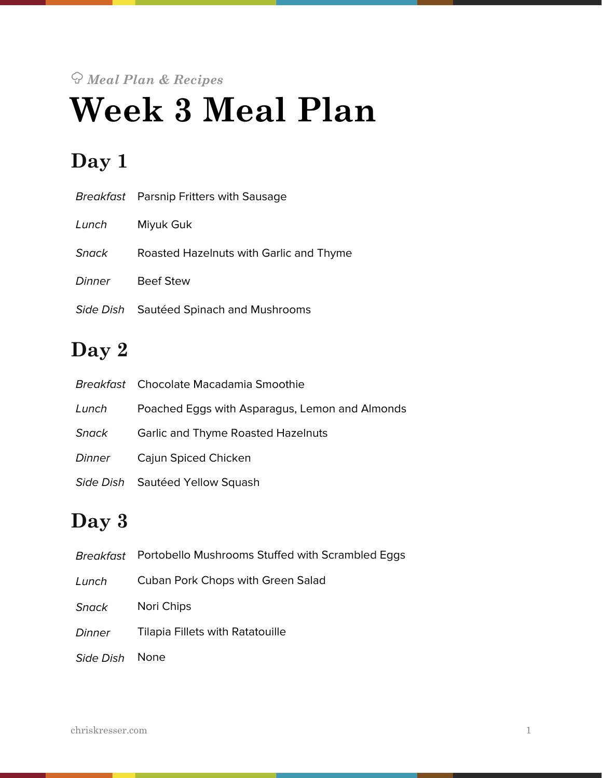# *Meal Plan & Recipes* **Week 3 Meal Plan**

# **Day 1**

|        | <i>Breakfast</i> Parsnip Fritters with Sausage |
|--------|------------------------------------------------|
| Lunch  | Miyuk Guk                                      |
| Snack  | Roasted Hazelnuts with Garlic and Thyme        |
| Dinner | <b>Beef Stew</b>                               |
|        | Side Dish Sautéed Spinach and Mushrooms        |

# **Day 2**

|        | Breakfast Chocolate Macadamia Smoothie         |
|--------|------------------------------------------------|
| Lunch  | Poached Eggs with Asparagus, Lemon and Almonds |
| Snack  | <b>Garlic and Thyme Roasted Hazelnuts</b>      |
| Dinner | Cajun Spiced Chicken                           |
|        | Side Dish Sautéed Yellow Squash                |

# **Day 3**

| Breakfast    | Portobello Mushrooms Stuffed with Scrambled Eggs |
|--------------|--------------------------------------------------|
| Lunch        | <b>Cuban Pork Chops with Green Salad</b>         |
| <b>Snack</b> | Nori Chips                                       |
| Dinner       | <b>Tilapia Fillets with Ratatouille</b>          |
| Side Dish    | <b>None</b>                                      |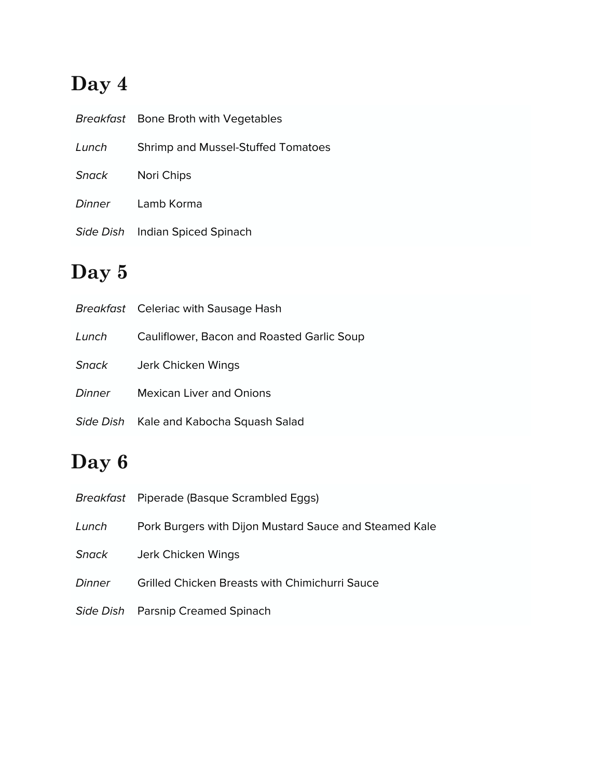# **Day 4**

|       | Breakfast Bone Broth with Vegetables |
|-------|--------------------------------------|
| Lunch | Shrimp and Mussel-Stuffed Tomatoes   |
| Snack | Nori Chips                           |
|       | Dinner Lamb Korma                    |
|       | Side Dish Indian Spiced Spinach      |

# **Day 5**

|        | <b>Breakfast</b> Celeriac with Sausage Hash |
|--------|---------------------------------------------|
| Lunch  | Cauliflower, Bacon and Roasted Garlic Soup  |
| Snack  | Jerk Chicken Wings                          |
| Dinner | <b>Mexican Liver and Onions</b>             |
|        | Side Dish Kale and Kabocha Squash Salad     |

# **Day 6**

|        | Breakfast Piperade (Basque Scrambled Eggs)             |
|--------|--------------------------------------------------------|
| Lunch  | Pork Burgers with Dijon Mustard Sauce and Steamed Kale |
| Snack  | Jerk Chicken Wings                                     |
| Dinner | <b>Grilled Chicken Breasts with Chimichurri Sauce</b>  |
|        | Side Dish Parsnip Creamed Spinach                      |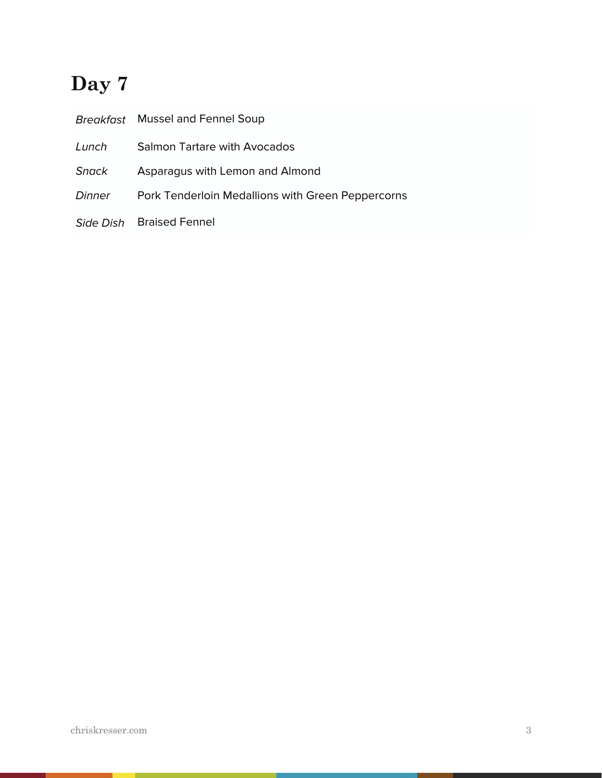# **Day 7**

|        | Breakfast Mussel and Fennel Soup                  |
|--------|---------------------------------------------------|
| Lunch  | <b>Salmon Tartare with Avocados</b>               |
| Snack  | Asparagus with Lemon and Almond                   |
| Dinner | Pork Tenderloin Medallions with Green Peppercorns |
|        | Side Dish Braised Fennel                          |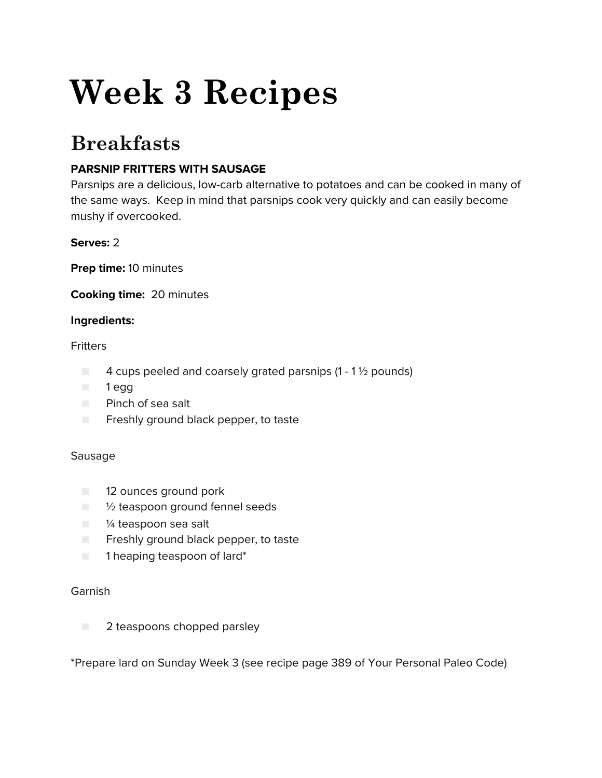# **Week 3 Recipes**

# **Breakfasts**

# **PARSNIP FRITTERS WITH SAUSAGE**

Parsnips are a delicious, low-carb alternative to potatoes and can be cooked in many of the same ways. Keep in mind that parsnips cook very quickly and can easily become mushy if overcooked.

# **Serves:** 2

**Prep time:** 10 minutes

**Cooking time:** 20 minutes

# **Ingredients:**

## **Fritters**

- $\Box$  4 cups peeled and coarsely grated parsnips (1 1  $\frac{1}{2}$  pounds)
- 1 egg
- Pinch of sea salt
- Freshly ground black pepper, to taste

# Sausage

- 12 ounces ground pork
- $\blacksquare$  1/2 teaspoon ground fennel seeds
- <sup>1/4</sup> teaspoon sea salt
- Freshly ground black pepper, to taste
- 1 heaping teaspoon of lard\*

#### Garnish

■ 2 teaspoons chopped parsley

\*Prepare lard on Sunday Week 3 (see recipe page 389 of Your Personal Paleo Code)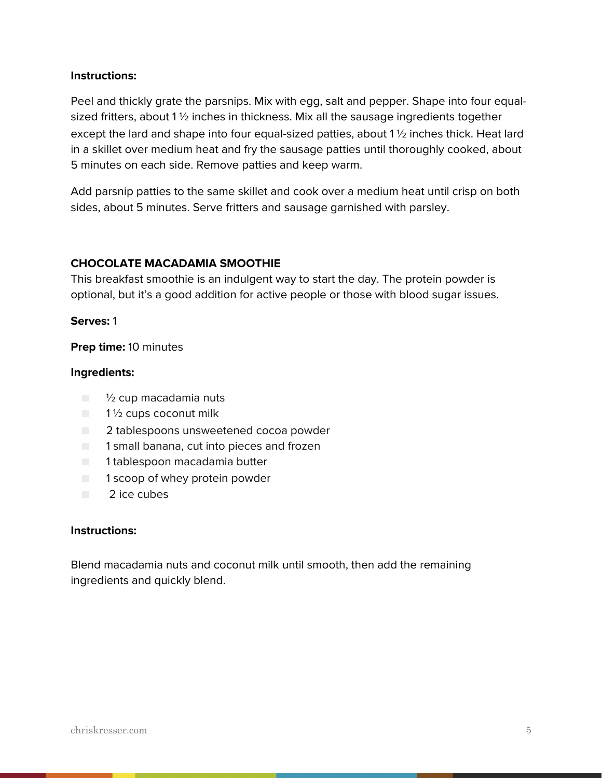#### **Instructions:**

Peel and thickly grate the parsnips. Mix with egg, salt and pepper. Shape into four equalsized fritters, about 1  $\frac{1}{2}$  inches in thickness. Mix all the sausage ingredients together except the lard and shape into four equal-sized patties, about 1 ½ inches thick. Heat lard in a skillet over medium heat and fry the sausage patties until thoroughly cooked, about 5 minutes on each side. Remove patties and keep warm.

Add parsnip patties to the same skillet and cook over a medium heat until crisp on both sides, about 5 minutes. Serve fritters and sausage garnished with parsley.

## **CHOCOLATE MACADAMIA SMOOTHIE**

This breakfast smoothie is an indulgent way to start the day. The protein powder is optional, but it's a good addition for active people or those with blood sugar issues.

#### **Serves:** 1

**Prep time:** 10 minutes

#### **Ingredients:**

- ½ cup macadamia nuts
- $\Box$  1  $\frac{1}{2}$  cups coconut milk
- 2 tablespoons unsweetened cocoa powder
- 1 small banana, cut into pieces and frozen
- 1 tablespoon macadamia butter
- 1 scoop of whey protein powder
- 2 ice cubes

#### **Instructions:**

Blend macadamia nuts and coconut milk until smooth, then add the remaining ingredients and quickly blend.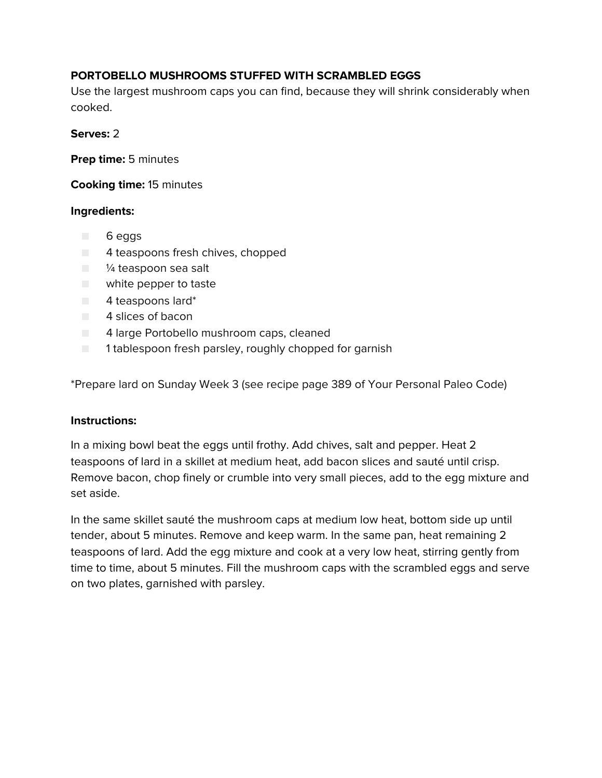# **PORTOBELLO MUSHROOMS STUFFED WITH SCRAMBLED EGGS**

Use the largest mushroom caps you can find, because they will shrink considerably when cooked.

#### **Serves:** 2

**Prep time:** 5 minutes

**Cooking time:** 15 minutes

#### **Ingredients:**

- 6 eggs
- 4 teaspoons fresh chives, chopped
- <sup>1/4</sup> teaspoon sea salt
- white pepper to taste
- 4 teaspoons lard\*
- 4 slices of bacon
- 4 large Portobello mushroom caps, cleaned
- 1 tablespoon fresh parsley, roughly chopped for garnish

\*Prepare lard on Sunday Week 3 (see recipe page 389 of Your Personal Paleo Code)

#### **Instructions:**

In a mixing bowl beat the eggs until frothy. Add chives, salt and pepper. Heat 2 teaspoons of lard in a skillet at medium heat, add bacon slices and sauté until crisp. Remove bacon, chop finely or crumble into very small pieces, add to the egg mixture and set aside.

In the same skillet sauté the mushroom caps at medium low heat, bottom side up until tender, about 5 minutes. Remove and keep warm. In the same pan, heat remaining 2 teaspoons of lard. Add the egg mixture and cook at a very low heat, stirring gently from time to time, about 5 minutes. Fill the mushroom caps with the scrambled eggs and serve on two plates, garnished with parsley.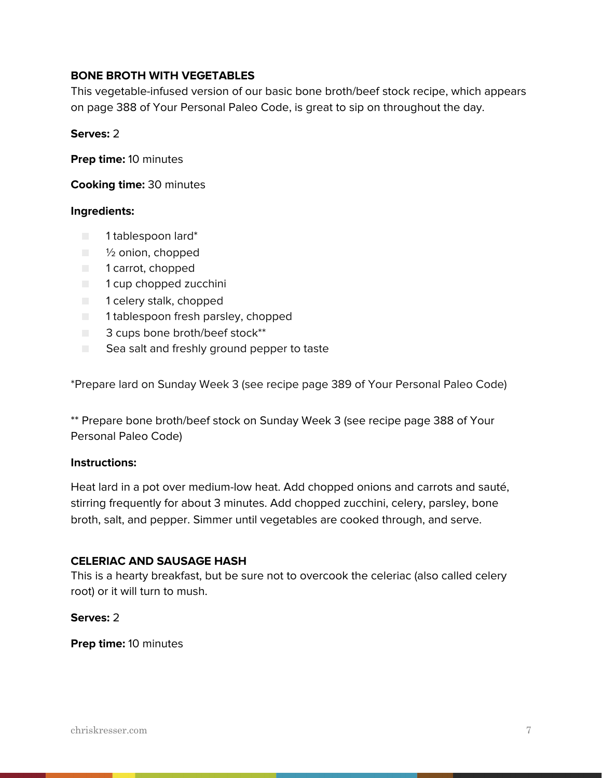#### **BONE BROTH WITH VEGETABLES**

This vegetable-infused version of our basic bone broth/beef stock recipe, which appears on page 388 of Your Personal Paleo Code, is great to sip on throughout the day.

#### **Serves:** 2

**Prep time:** 10 minutes

**Cooking time:** 30 minutes

#### **Ingredients:**

- 1 tablespoon lard\*
- <sup>1</sup>/<sub>2</sub> onion, chopped
- 1 carrot, chopped
- 1 cup chopped zucchini
- 1 celery stalk, chopped
- 1 tablespoon fresh parsley, chopped
- 3 cups bone broth/beef stock\*\*
- Sea salt and freshly ground pepper to taste

\*Prepare lard on Sunday Week 3 (see recipe page 389 of Your Personal Paleo Code)

\*\* Prepare bone broth/beef stock on Sunday Week 3 (see recipe page 388 of Your Personal Paleo Code)

#### **Instructions:**

Heat lard in a pot over medium-low heat. Add chopped onions and carrots and sauté, stirring frequently for about 3 minutes. Add chopped zucchini, celery, parsley, bone broth, salt, and pepper. Simmer until vegetables are cooked through, and serve.

#### **CELERIAC AND SAUSAGE HASH**

This is a hearty breakfast, but be sure not to overcook the celeriac (also called celery root) or it will turn to mush.

#### **Serves:** 2

**Prep time:** 10 minutes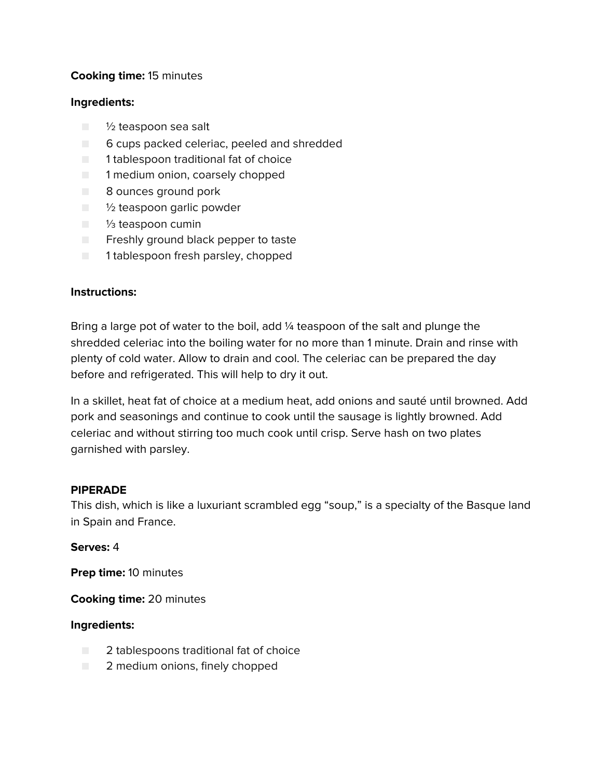# **Cooking time:** 15 minutes

#### **Ingredients:**

- 1/2 teaspoon sea salt
- 6 cups packed celeriac, peeled and shredded
- 1 tablespoon traditional fat of choice
- 1 medium onion, coarsely chopped
- 8 ounces ground pork
- <sup>1</sup>/<sub>2</sub> teaspoon garlic powder
- 1/<sub>3</sub> teaspoon cumin
- Freshly ground black pepper to taste
- 1 tablespoon fresh parsley, chopped

## **Instructions:**

Bring a large pot of water to the boil, add ¼ teaspoon of the salt and plunge the shredded celeriac into the boiling water for no more than 1 minute. Drain and rinse with plenty of cold water. Allow to drain and cool. The celeriac can be prepared the day before and refrigerated. This will help to dry it out.

In a skillet, heat fat of choice at a medium heat, add onions and sauté until browned. Add pork and seasonings and continue to cook until the sausage is lightly browned. Add celeriac and without stirring too much cook until crisp. Serve hash on two plates garnished with parsley.

#### **PIPERADE**

This dish, which is like a luxuriant scrambled egg "soup," is a specialty of the Basque land in Spain and France.

#### **Serves:** 4

**Prep time:** 10 minutes

**Cooking time:** 20 minutes

- 2 tablespoons traditional fat of choice
- 2 medium onions, finely chopped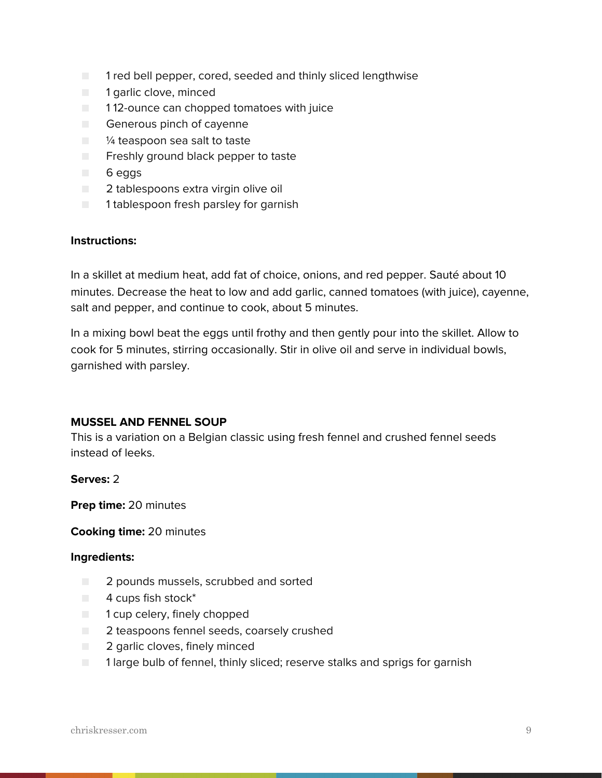- 1 red bell pepper, cored, seeded and thinly sliced lengthwise
- 1 garlic clove, minced
- 112-ounce can chopped tomatoes with juice
- Generous pinch of cayenne
- <sup>1/4</sup> teaspoon sea salt to taste
- Freshly ground black pepper to taste
- 6 eggs
- 2 tablespoons extra virgin olive oil
- 1 tablespoon fresh parsley for garnish

#### **Instructions:**

In a skillet at medium heat, add fat of choice, onions, and red pepper. Sauté about 10 minutes. Decrease the heat to low and add garlic, canned tomatoes (with juice), cayenne, salt and pepper, and continue to cook, about 5 minutes.

In a mixing bowl beat the eggs until frothy and then gently pour into the skillet. Allow to cook for 5 minutes, stirring occasionally. Stir in olive oil and serve in individual bowls, garnished with parsley.

#### **MUSSEL AND FENNEL SOUP**

This is a variation on a Belgian classic using fresh fennel and crushed fennel seeds instead of leeks.

#### **Serves:** 2

**Prep time:** 20 minutes

#### **Cooking time:** 20 minutes

- 2 pounds mussels, scrubbed and sorted
- $\blacksquare$  4 cups fish stock\*
- 1 cup celery, finely chopped
- 2 teaspoons fennel seeds, coarsely crushed
- 2 garlic cloves, finely minced
- 1 large bulb of fennel, thinly sliced; reserve stalks and sprigs for garnish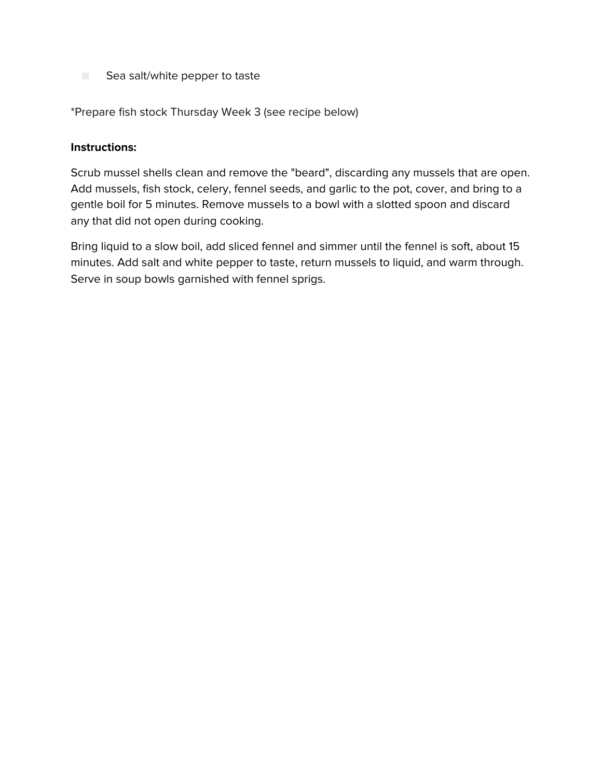■ Sea salt/white pepper to taste

\*Prepare fish stock Thursday Week 3 (see recipe below)

#### **Instructions:**

Scrub mussel shells clean and remove the "beard", discarding any mussels that are open. Add mussels, fish stock, celery, fennel seeds, and garlic to the pot, cover, and bring to a gentle boil for 5 minutes. Remove mussels to a bowl with a slotted spoon and discard any that did not open during cooking.

Bring liquid to a slow boil, add sliced fennel and simmer until the fennel is soft, about 15 minutes. Add salt and white pepper to taste, return mussels to liquid, and warm through. Serve in soup bowls garnished with fennel sprigs.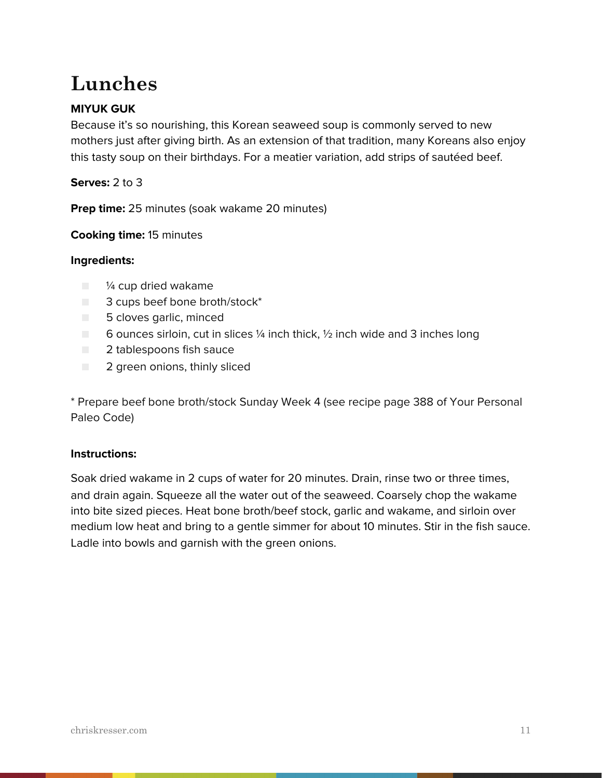# **Lunches**

# **MIYUK GUK**

Because it's so nourishing, this Korean seaweed soup is commonly served to new mothers just after giving birth. As an extension of that tradition, many Koreans also enjoy this tasty soup on their birthdays. For a meatier variation, add strips of sautéed beef.

**Serves:** 2 to 3

**Prep time:** 25 minutes (soak wakame 20 minutes)

**Cooking time:** 15 minutes

#### **Ingredients:**

- ¼ cup dried wakame
- 3 cups beef bone broth/stock<sup>\*</sup>
- 5 cloves garlic, minced
- $\Box$  6 ounces sirloin, cut in slices 1/4 inch thick, 1/2 inch wide and 3 inches long
- 2 tablespoons fish sauce
- 2 green onions, thinly sliced

\* Prepare beef bone broth/stock Sunday Week 4 (see recipe page 388 of Your Personal Paleo Code)

#### **Instructions:**

Soak dried wakame in 2 cups of water for 20 minutes. Drain, rinse two or three times, and drain again. Squeeze all the water out of the seaweed. Coarsely chop the wakame into bite sized pieces. Heat bone broth/beef stock, garlic and wakame, and sirloin over medium low heat and bring to a gentle simmer for about 10 minutes. Stir in the fish sauce. Ladle into bowls and garnish with the green onions.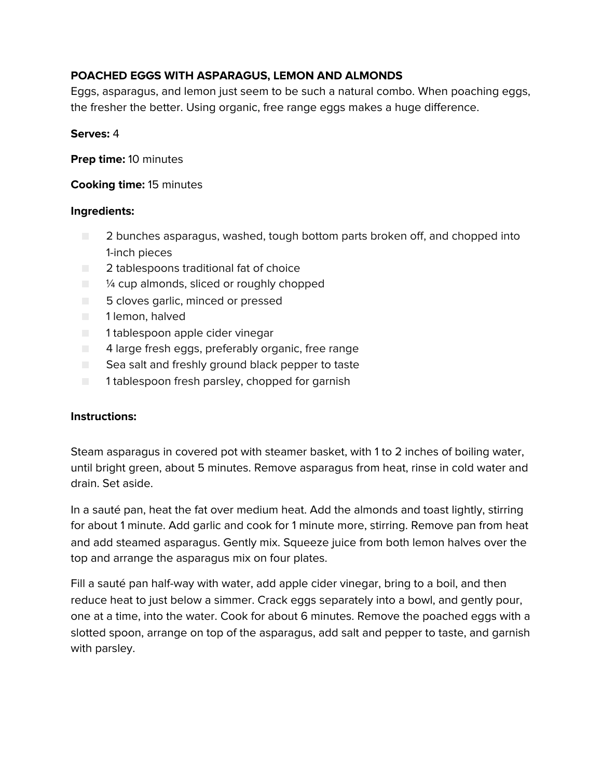# **POACHED EGGS WITH ASPARAGUS, LEMON AND ALMONDS**

Eggs, asparagus, and lemon just seem to be such a natural combo. When poaching eggs, the fresher the better. Using organic, free range eggs makes a huge difference.

#### **Serves:** 4

**Prep time:** 10 minutes

# **Cooking time:** 15 minutes

## **Ingredients:**

- 2 bunches asparagus, washed, tough bottom parts broken off, and chopped into 1-inch pieces
- 2 tablespoons traditional fat of choice
- $\blacksquare$   $\blacksquare$   $\blacksquare$   $\blacksquare$   $\blacksquare$   $\blacksquare$   $\blacksquare$   $\blacksquare$   $\blacksquare$   $\blacksquare$   $\blacksquare$   $\blacksquare$   $\blacksquare$   $\blacksquare$   $\blacksquare$   $\blacksquare$   $\blacksquare$   $\blacksquare$   $\blacksquare$   $\blacksquare$   $\blacksquare$   $\blacksquare$   $\blacksquare$   $\blacksquare$   $\blacksquare$   $\blacksquare$   $\blacksquare$   $\blacksquare$   $\blacksquare$   $\blacksquare$   $\blacksquare$   $\blacks$
- 5 cloves garlic, minced or pressed
- 1 lemon, halved
- 1 tablespoon apple cider vinegar
- $\Box$  4 large fresh eggs, preferably organic, free range
- Sea salt and freshly ground black pepper to taste
- 1 tablespoon fresh parsley, chopped for garnish

# **Instructions:**

Steam asparagus in covered pot with steamer basket, with 1 to 2 inches of boiling water, until bright green, about 5 minutes. Remove asparagus from heat, rinse in cold water and drain. Set aside.

In a sauté pan, heat the fat over medium heat. Add the almonds and toast lightly, stirring for about 1 minute. Add garlic and cook for 1 minute more, stirring. Remove pan from heat and add steamed asparagus. Gently mix. Squeeze juice from both lemon halves over the top and arrange the asparagus mix on four plates.

Fill a sauté pan half-way with water, add apple cider vinegar, bring to a boil, and then reduce heat to just below a simmer. Crack eggs separately into a bowl, and gently pour, one at a time, into the water. Cook for about 6 minutes. Remove the poached eggs with a slotted spoon, arrange on top of the asparagus, add salt and pepper to taste, and garnish with parsley.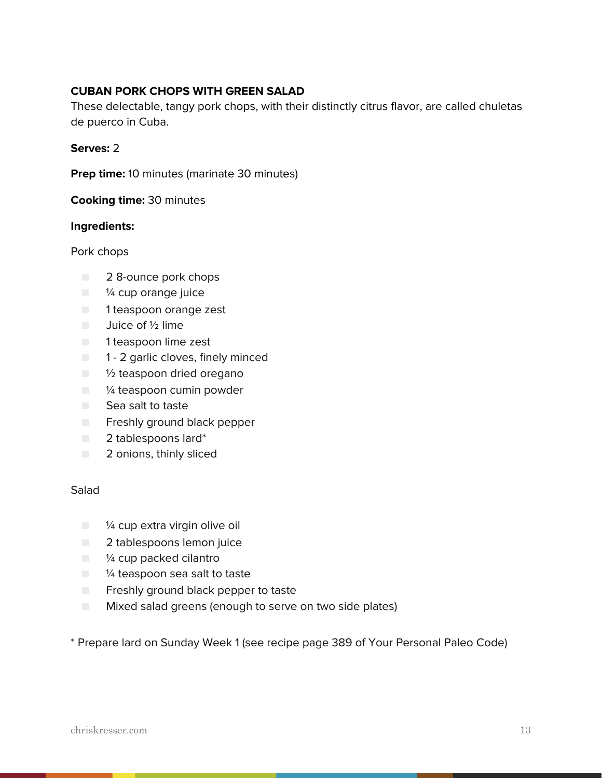# **CUBAN PORK CHOPS WITH GREEN SALAD**

These delectable, tangy pork chops, with their distinctly citrus flavor, are called chuletas de puerco in Cuba.

#### **Serves:** 2

**Prep time:** 10 minutes (marinate 30 minutes)

**Cooking time:** 30 minutes

#### **Ingredients:**

Pork chops

- 2 8-ounce pork chops
- <sup>1/4</sup> cup orange juice
- 1 teaspoon orange zest
- Juice of ½ lime
- 1 teaspoon lime zest
- 1 2 garlic cloves, finely minced
- <sup>1</sup>/<sub>2</sub> teaspoon dried oregano
- <sup>1/4</sup> teaspoon cumin powder
- Sea salt to taste
- Freshly ground black pepper
- 2 tablespoons lard\*
- 2 onions, thinly sliced

#### Salad

- <sup>1/4</sup> cup extra virgin olive oil
- 2 tablespoons lemon juice
- <sup>1/4</sup> cup packed cilantro
- <sup>1/4</sup> teaspoon sea salt to taste
- Freshly ground black pepper to taste
- **EXECUTE:** Mixed salad greens (enough to serve on two side plates)

\* Prepare lard on Sunday Week 1 (see recipe page 389 of Your Personal Paleo Code)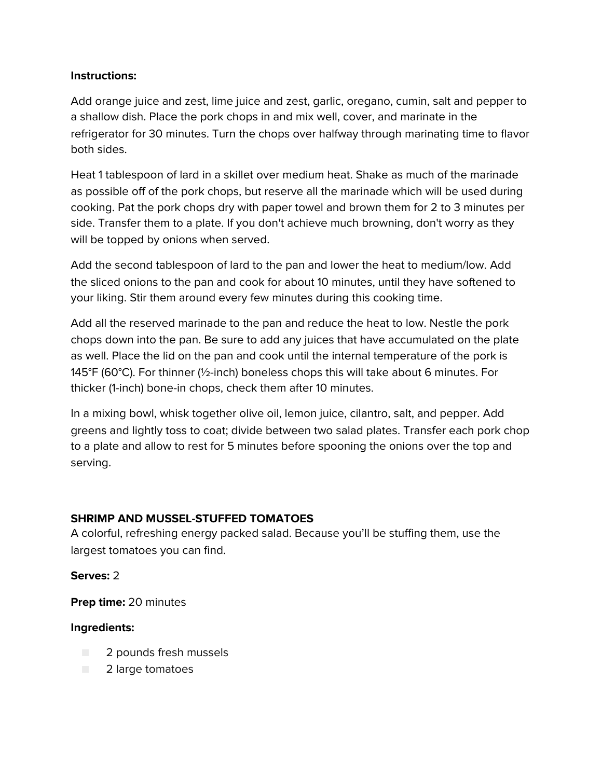# **Instructions:**

Add orange juice and zest, lime juice and zest, garlic, oregano, cumin, salt and pepper to a shallow dish. Place the pork chops in and mix well, cover, and marinate in the refrigerator for 30 minutes. Turn the chops over halfway through marinating time to flavor both sides.

Heat 1 tablespoon of lard in a skillet over medium heat. Shake as much of the marinade as possible off of the pork chops, but reserve all the marinade which will be used during cooking. Pat the pork chops dry with paper towel and brown them for 2 to 3 minutes per side. Transfer them to a plate. If you don't achieve much browning, don't worry as they will be topped by onions when served.

Add the second tablespoon of lard to the pan and lower the heat to medium/low. Add the sliced onions to the pan and cook for about 10 minutes, until they have softened to your liking. Stir them around every few minutes during this cooking time.

Add all the reserved marinade to the pan and reduce the heat to low. Nestle the pork chops down into the pan. Be sure to add any juices that have accumulated on the plate as well. Place the lid on the pan and cook until the internal temperature of the pork is 145°F (60°C). For thinner (½-inch) boneless chops this will take about 6 minutes. For thicker (1-inch) bone-in chops, check them after 10 minutes.

In a mixing bowl, whisk together olive oil, lemon juice, cilantro, salt, and pepper. Add greens and lightly toss to coat; divide between two salad plates. Transfer each pork chop to a plate and allow to rest for 5 minutes before spooning the onions over the top and serving.

# **SHRIMP AND MUSSEL-STUFFED TOMATOES**

A colorful, refreshing energy packed salad. Because you'll be stuffing them, use the largest tomatoes you can find.

#### **Serves:** 2

**Prep time:** 20 minutes

- 2 pounds fresh mussels
- 2 large tomatoes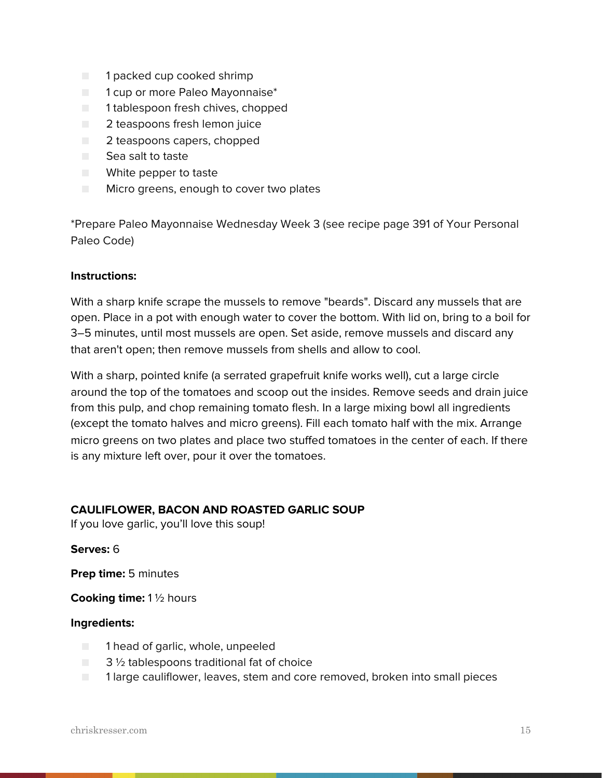- 1 packed cup cooked shrimp
- 1 cup or more Paleo Mayonnaise<sup>\*</sup>
- 1 tablespoon fresh chives, chopped
- 2 teaspoons fresh lemon juice
- 2 teaspoons capers, chopped
- Sea salt to taste
- White pepper to taste
- Micro greens, enough to cover two plates

\*Prepare Paleo Mayonnaise Wednesday Week 3 (see recipe page 391 of Your Personal Paleo Code)

#### **Instructions:**

With a sharp knife scrape the mussels to remove "beards". Discard any mussels that are open. Place in a pot with enough water to cover the bottom. With lid on, bring to a boil for 3–5 minutes, until most mussels are open. Set aside, remove mussels and discard any that aren't open; then remove mussels from shells and allow to cool.

With a sharp, pointed knife (a serrated grapefruit knife works well), cut a large circle around the top of the tomatoes and scoop out the insides. Remove seeds and drain juice from this pulp, and chop remaining tomato flesh. In a large mixing bowl all ingredients (except the tomato halves and micro greens). Fill each tomato half with the mix. Arrange micro greens on two plates and place two stuffed tomatoes in the center of each. If there is any mixture left over, pour it over the tomatoes.

#### **CAULIFLOWER, BACON AND ROASTED GARLIC SOUP**

If you love garlic, you'll love this soup!

#### **Serves:** 6

**Prep time:** 5 minutes

**Cooking time:** 1 ½ hours

- 1 head of garlic, whole, unpeeled
- $\Box$  3  $\frac{1}{2}$  tablespoons traditional fat of choice
- 1 large cauliflower, leaves, stem and core removed, broken into small pieces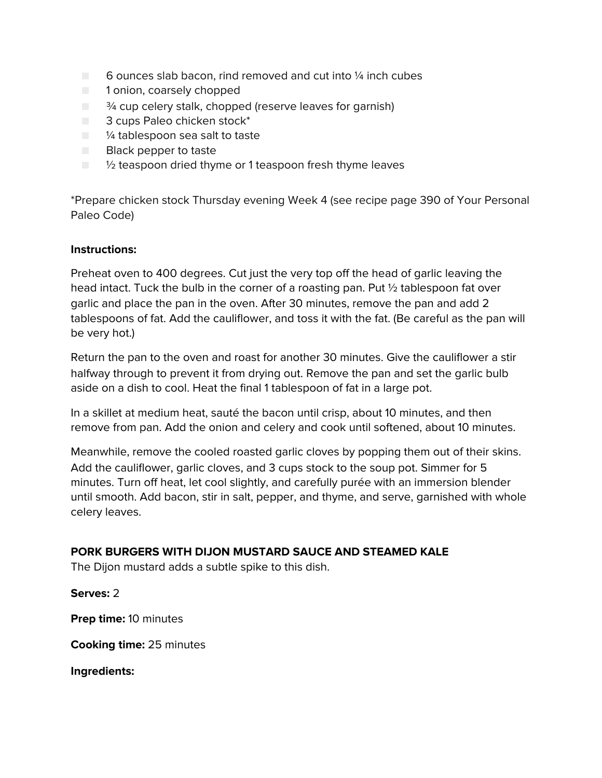- $\Box$  6 ounces slab bacon, rind removed and cut into  $\frac{1}{4}$  inch cubes
- 1 onion, coarsely chopped
- $\blacksquare$   $\frac{3}{4}$  cup celery stalk, chopped (reserve leaves for garnish)
- 3 cups Paleo chicken stock<sup>\*</sup>
- <sup>1/4</sup> tablespoon sea salt to taste
- Black pepper to taste
- $\blacksquare$  1/2 teaspoon dried thyme or 1 teaspoon fresh thyme leaves

\*Prepare chicken stock Thursday evening Week 4 (see recipe page 390 of Your Personal Paleo Code)

#### **Instructions:**

Preheat oven to 400 degrees. Cut just the very top off the head of garlic leaving the head intact. Tuck the bulb in the corner of a roasting pan. Put ½ tablespoon fat over garlic and place the pan in the oven. After 30 minutes, remove the pan and add 2 tablespoons of fat. Add the cauliflower, and toss it with the fat. (Be careful as the pan will be very hot.)

Return the pan to the oven and roast for another 30 minutes. Give the cauliflower a stir halfway through to prevent it from drying out. Remove the pan and set the garlic bulb aside on a dish to cool. Heat the final 1 tablespoon of fat in a large pot.

In a skillet at medium heat, sauté the bacon until crisp, about 10 minutes, and then remove from pan. Add the onion and celery and cook until softened, about 10 minutes.

Meanwhile, remove the cooled roasted garlic cloves by popping them out of their skins. Add the cauliflower, garlic cloves, and 3 cups stock to the soup pot. Simmer for 5 minutes. Turn off heat, let cool slightly, and carefully purée with an immersion blender until smooth. Add bacon, stir in salt, pepper, and thyme, and serve, garnished with whole celery leaves.

#### **PORK BURGERS WITH DIJON MUSTARD SAUCE AND STEAMED KALE**

The Dijon mustard adds a subtle spike to this dish.

**Serves:** 2

**Prep time:** 10 minutes

**Cooking time:** 25 minutes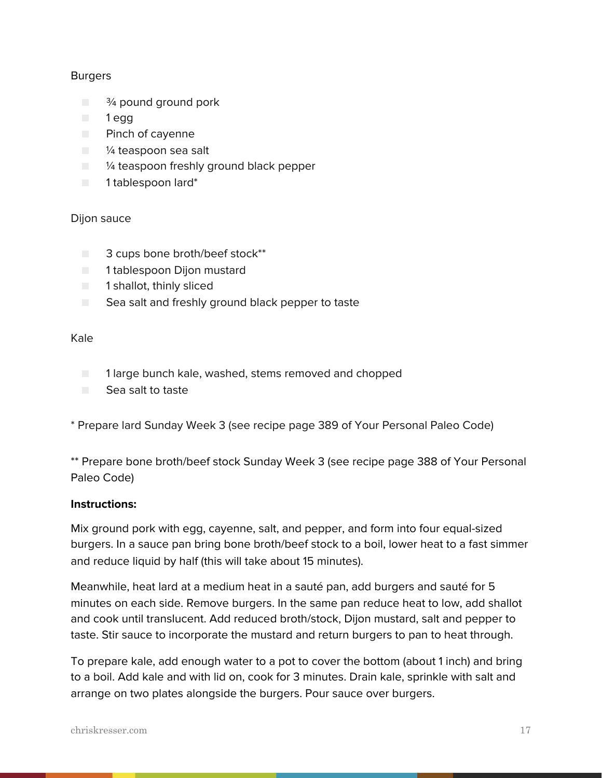#### Burgers

- <sup>3</sup><sup>⁄4</sup> pound ground pork
- 1 egg
- Pinch of cayenne
- <sup>1/4</sup> teaspoon sea salt
- $\Box$   $\frac{1}{4}$  teaspoon freshly ground black pepper
- 1 tablespoon lard\*

#### Dijon sauce

- 3 cups bone broth/beef stock\*\*
- 1 tablespoon Dijon mustard
- 1 shallot, thinly sliced
- Sea salt and freshly ground black pepper to taste

#### Kale

- 1 large bunch kale, washed, stems removed and chopped
- Sea salt to taste

\* Prepare lard Sunday Week 3 (see recipe page 389 of Your Personal Paleo Code)

\*\* Prepare bone broth/beef stock Sunday Week 3 (see recipe page 388 of Your Personal Paleo Code)

#### **Instructions:**

Mix ground pork with egg, cayenne, salt, and pepper, and form into four equal-sized burgers. In a sauce pan bring bone broth/beef stock to a boil, lower heat to a fast simmer and reduce liquid by half (this will take about 15 minutes).

Meanwhile, heat lard at a medium heat in a sauté pan, add burgers and sauté for 5 minutes on each side. Remove burgers. In the same pan reduce heat to low, add shallot and cook until translucent. Add reduced broth/stock, Dijon mustard, salt and pepper to taste. Stir sauce to incorporate the mustard and return burgers to pan to heat through.

To prepare kale, add enough water to a pot to cover the bottom (about 1 inch) and bring to a boil. Add kale and with lid on, cook for 3 minutes. Drain kale, sprinkle with salt and arrange on two plates alongside the burgers. Pour sauce over burgers.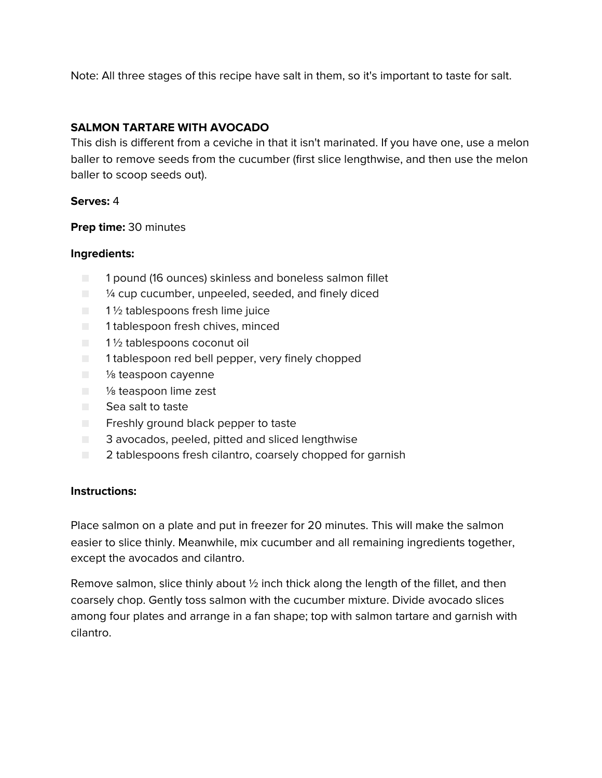Note: All three stages of this recipe have salt in them, so it's important to taste for salt.

# **SALMON TARTARE WITH AVOCADO**

This dish is different from a ceviche in that it isn't marinated. If you have one, use a melon baller to remove seeds from the cucumber (first slice lengthwise, and then use the melon baller to scoop seeds out).

#### **Serves:** 4

**Prep time:** 30 minutes

#### **Ingredients:**

- 1 pound (16 ounces) skinless and boneless salmon fillet
- ¼ cup cucumber, unpeeled, seeded, and finely diced
- $\Box$  1  $\frac{1}{2}$  tablespoons fresh lime juice
- 1 tablespoon fresh chives, minced
- 1½ tablespoons coconut oil
- 1 tablespoon red bell pepper, very finely chopped
- <sup>1/8</sup> teaspoon cayenne
- <sup>1</sup>/<sub>8</sub> teaspoon lime zest
- Sea salt to taste
- Freshly ground black pepper to taste
- 3 avocados, peeled, pitted and sliced lengthwise
- 2 tablespoons fresh cilantro, coarsely chopped for garnish

#### **Instructions:**

Place salmon on a plate and put in freezer for 20 minutes. This will make the salmon easier to slice thinly. Meanwhile, mix cucumber and all remaining ingredients together, except the avocados and cilantro.

Remove salmon, slice thinly about 1/2 inch thick along the length of the fillet, and then coarsely chop. Gently toss salmon with the cucumber mixture. Divide avocado slices among four plates and arrange in a fan shape; top with salmon tartare and garnish with cilantro.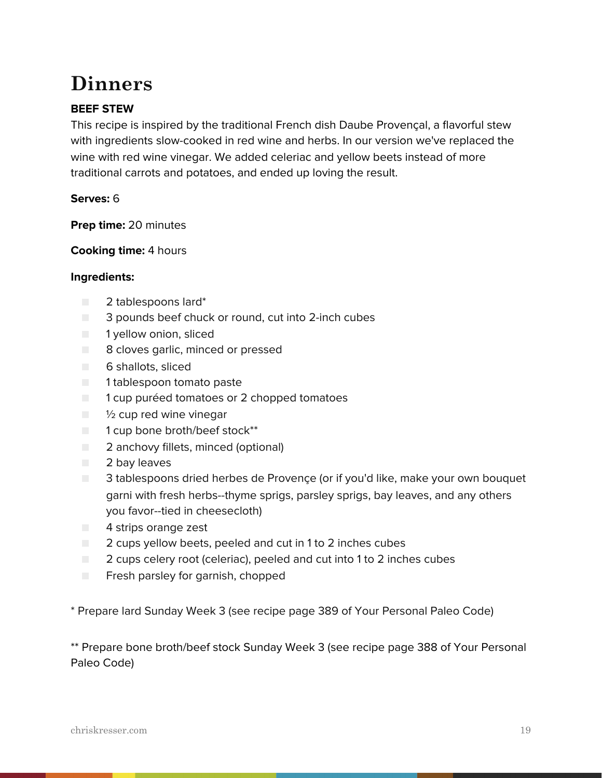# **Dinners**

# **BEEF STEW**

This recipe is inspired by the traditional French dish Daube Provençal, a flavorful stew with ingredients slow-cooked in red wine and herbs. In our version we've replaced the wine with red wine vinegar. We added celeriac and yellow beets instead of more traditional carrots and potatoes, and ended up loving the result.

#### **Serves:** 6

**Prep time:** 20 minutes

**Cooking time:** 4 hours

#### **Ingredients:**

- 2 tablespoons lard\*
- 3 pounds beef chuck or round, cut into 2-inch cubes
- 1 yellow onion, sliced
- 8 cloves garlic, minced or pressed
- 6 shallots, sliced
- 1 tablespoon tomato paste
- 1 cup puréed tomatoes or 2 chopped tomatoes
- $\blacksquare$  1/2 cup red wine vinegar
- 1 cup bone broth/beef stock\*\*
- 2 anchovy fillets, minced (optional)
- 2 bay leaves
- 3 tablespoons dried herbes de Provençe (or if you'd like, make your own bouquet garni with fresh herbs--thyme sprigs, parsley sprigs, bay leaves, and any others you favor--tied in cheesecloth)
- 4 strips orange zest
- 2 cups yellow beets, peeled and cut in 1 to 2 inches cubes
- 2 cups celery root (celeriac), peeled and cut into 1 to 2 inches cubes
- Fresh parsley for garnish, chopped

\* Prepare lard Sunday Week 3 (see recipe page 389 of Your Personal Paleo Code)

\*\* Prepare bone broth/beef stock Sunday Week 3 (see recipe page 388 of Your Personal Paleo Code)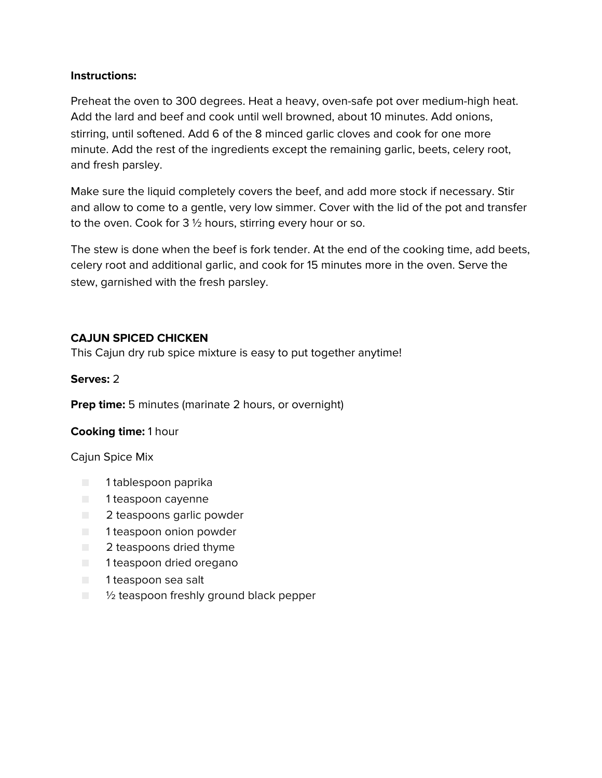#### **Instructions:**

Preheat the oven to 300 degrees. Heat a heavy, oven-safe pot over medium-high heat. Add the lard and beef and cook until well browned, about 10 minutes. Add onions, stirring, until softened. Add 6 of the 8 minced garlic cloves and cook for one more minute. Add the rest of the ingredients except the remaining garlic, beets, celery root, and fresh parsley.

Make sure the liquid completely covers the beef, and add more stock if necessary. Stir and allow to come to a gentle, very low simmer. Cover with the lid of the pot and transfer to the oven. Cook for 3 ½ hours, stirring every hour or so.

The stew is done when the beef is fork tender. At the end of the cooking time, add beets, celery root and additional garlic, and cook for 15 minutes more in the oven. Serve the stew, garnished with the fresh parsley.

# **CAJUN SPICED CHICKEN**

This Cajun dry rub spice mixture is easy to put together anytime!

**Serves:** 2

**Prep time:** 5 minutes (marinate 2 hours, or overnight)

# **Cooking time:** 1 hour

Cajun Spice Mix

- 1 tablespoon paprika
- 1 teaspoon cayenne
- 2 teaspoons garlic powder
- 1 teaspoon onion powder
- 2 teaspoons dried thyme
- 1 teaspoon dried oregano
- 1 teaspoon sea salt
- $\Box$   $\frac{1}{2}$  teaspoon freshly ground black pepper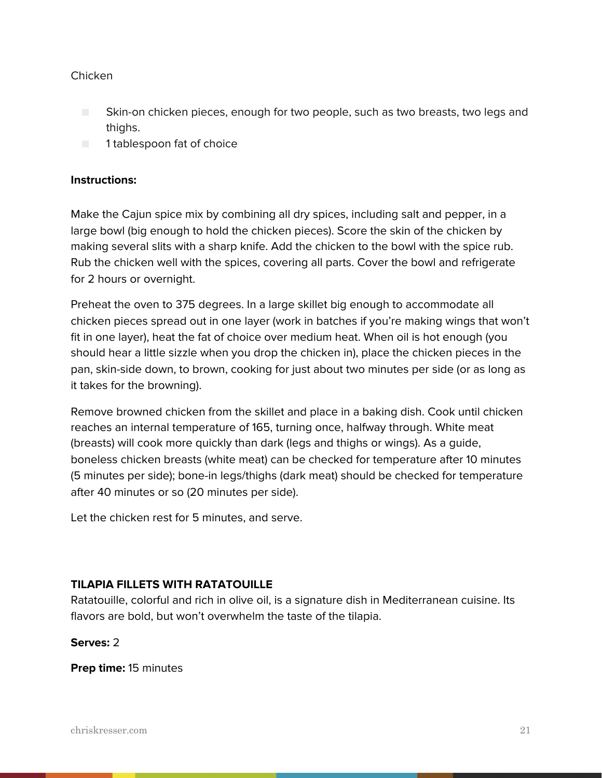#### Chicken

- Skin-on chicken pieces, enough for two people, such as two breasts, two legs and thighs.
- 1 tablespoon fat of choice

#### **Instructions:**

Make the Cajun spice mix by combining all dry spices, including salt and pepper, in a large bowl (big enough to hold the chicken pieces). Score the skin of the chicken by making several slits with a sharp knife. Add the chicken to the bowl with the spice rub. Rub the chicken well with the spices, covering all parts. Cover the bowl and refrigerate for 2 hours or overnight.

Preheat the oven to 375 degrees. In a large skillet big enough to accommodate all chicken pieces spread out in one layer (work in batches if you're making wings that won't fit in one layer), heat the fat of choice over medium heat. When oil is hot enough (you should hear a little sizzle when you drop the chicken in), place the chicken pieces in the pan, skin-side down, to brown, cooking for just about two minutes per side (or as long as it takes for the browning).

Remove browned chicken from the skillet and place in a baking dish. Cook until chicken reaches an internal temperature of 165, turning once, halfway through. White meat (breasts) will cook more quickly than dark (legs and thighs or wings). As a guide, boneless chicken breasts (white meat) can be checked for temperature after 10 minutes (5 minutes per side); bone-in legs/thighs (dark meat) should be checked for temperature after 40 minutes or so (20 minutes per side).

Let the chicken rest for 5 minutes, and serve.

#### **TILAPIA FILLETS WITH RATATOUILLE**

Ratatouille, colorful and rich in olive oil, is a signature dish in Mediterranean cuisine. Its flavors are bold, but won't overwhelm the taste of the tilapia.

#### **Serves:** 2

**Prep time:** 15 minutes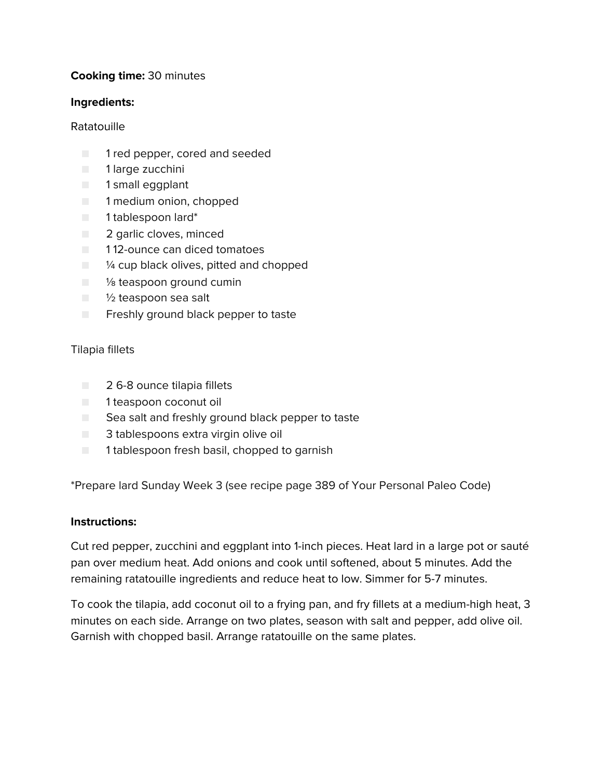## **Cooking time:** 30 minutes

#### **Ingredients:**

#### Ratatouille

- 1 red pepper, cored and seeded
- 1 large zucchini
- 1 small eggplant
- 1 medium onion, chopped
- 1 tablespoon lard\*
- 2 garlic cloves, minced
- 112-ounce can diced tomatoes
- $\blacksquare$   $\blacksquare$   $\blacksquare$   $\blacksquare$   $\blacksquare$   $\blacksquare$   $\blacksquare$   $\blacksquare$   $\blacksquare$   $\blacksquare$   $\blacksquare$   $\blacksquare$   $\blacksquare$   $\blacksquare$   $\blacksquare$   $\blacksquare$   $\blacksquare$   $\blacksquare$   $\blacksquare$   $\blacksquare$   $\blacksquare$   $\blacksquare$   $\blacksquare$   $\blacksquare$   $\blacksquare$   $\blacksquare$   $\blacksquare$   $\blacksquare$   $\blacksquare$   $\blacksquare$   $\blacksquare$   $\blacks$
- <sup>1/8</sup> teaspoon ground cumin
- 1/2 teaspoon sea salt
- Freshly ground black pepper to taste

#### Tilapia fillets

- 2 6-8 ounce tilapia fillets
- 1 teaspoon coconut oil
- Sea salt and freshly ground black pepper to taste
- 3 tablespoons extra virgin olive oil
- 1 tablespoon fresh basil, chopped to garnish

\*Prepare lard Sunday Week 3 (see recipe page 389 of Your Personal Paleo Code)

#### **Instructions:**

Cut red pepper, zucchini and eggplant into 1-inch pieces. Heat lard in a large pot or sauté pan over medium heat. Add onions and cook until softened, about 5 minutes. Add the remaining ratatouille ingredients and reduce heat to low. Simmer for 5-7 minutes.

To cook the tilapia, add coconut oil to a frying pan, and fry fillets at a medium-high heat, 3 minutes on each side. Arrange on two plates, season with salt and pepper, add olive oil. Garnish with chopped basil. Arrange ratatouille on the same plates.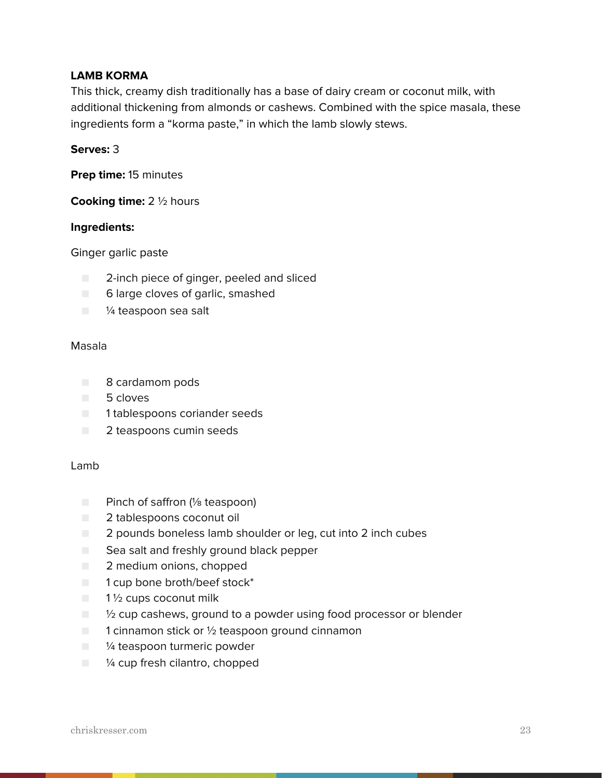#### **LAMB KORMA**

This thick, creamy dish traditionally has a base of dairy cream or coconut milk, with additional thickening from almonds or cashews. Combined with the spice masala, these ingredients form a "korma paste," in which the lamb slowly stews.

#### **Serves:** 3

**Prep time:** 15 minutes

**Cooking time:** 2 ½ hours

#### **Ingredients:**

Ginger garlic paste

- 2-inch piece of ginger, peeled and sliced
- 6 large cloves of garlic, smashed
- <sup>1/4</sup> teaspoon sea salt

#### Masala

- 8 cardamom pods
- 5 cloves
- 1 tablespoons coriander seeds
- 2 teaspoons cumin seeds

#### Lamb

- Pinch of saffron (1/<sub>8</sub> teaspoon)
- 2 tablespoons coconut oil
- 2 pounds boneless lamb shoulder or leg, cut into 2 inch cubes
- Sea salt and freshly ground black pepper
- 2 medium onions, chopped
- 1 cup bone broth/beef stock<sup>\*</sup>
- $\blacksquare$  1 1/2 cups coconut milk
- <sup>1</sup>/<sub>2</sub> cup cashews, ground to a powder using food processor or blender
- $\Box$  1 cinnamon stick or  $\frac{1}{2}$  teaspoon ground cinnamon
- <sup>1/4</sup> teaspoon turmeric powder
- <sup>1/4</sup> cup fresh cilantro, chopped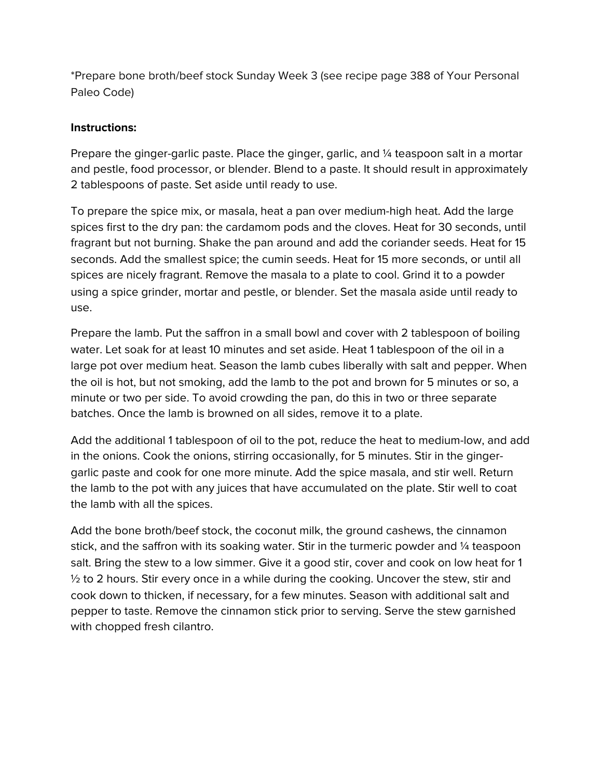\*Prepare bone broth/beef stock Sunday Week 3 (see recipe page 388 of Your Personal Paleo Code)

#### **Instructions:**

Prepare the ginger-garlic paste. Place the ginger, garlic, and ¼ teaspoon salt in a mortar and pestle, food processor, or blender. Blend to a paste. It should result in approximately 2 tablespoons of paste. Set aside until ready to use.

To prepare the spice mix, or masala, heat a pan over medium-high heat. Add the large spices first to the dry pan: the cardamom pods and the cloves. Heat for 30 seconds, until fragrant but not burning. Shake the pan around and add the coriander seeds. Heat for 15 seconds. Add the smallest spice; the cumin seeds. Heat for 15 more seconds, or until all spices are nicely fragrant. Remove the masala to a plate to cool. Grind it to a powder using a spice grinder, mortar and pestle, or blender. Set the masala aside until ready to use.

Prepare the lamb. Put the saffron in a small bowl and cover with 2 tablespoon of boiling water. Let soak for at least 10 minutes and set aside. Heat 1 tablespoon of the oil in a large pot over medium heat. Season the lamb cubes liberally with salt and pepper. When the oil is hot, but not smoking, add the lamb to the pot and brown for 5 minutes or so, a minute or two per side. To avoid crowding the pan, do this in two or three separate batches. Once the lamb is browned on all sides, remove it to a plate.

Add the additional 1 tablespoon of oil to the pot, reduce the heat to medium-low, and add in the onions. Cook the onions, stirring occasionally, for 5 minutes. Stir in the gingergarlic paste and cook for one more minute. Add the spice masala, and stir well. Return the lamb to the pot with any juices that have accumulated on the plate. Stir well to coat the lamb with all the spices.

Add the bone broth/beef stock, the coconut milk, the ground cashews, the cinnamon stick, and the saffron with its soaking water. Stir in the turmeric powder and  $\frac{1}{4}$  teaspoon salt. Bring the stew to a low simmer. Give it a good stir, cover and cook on low heat for 1  $\frac{1}{2}$  to 2 hours. Stir every once in a while during the cooking. Uncover the stew, stir and cook down to thicken, if necessary, for a few minutes. Season with additional salt and pepper to taste. Remove the cinnamon stick prior to serving. Serve the stew garnished with chopped fresh cilantro.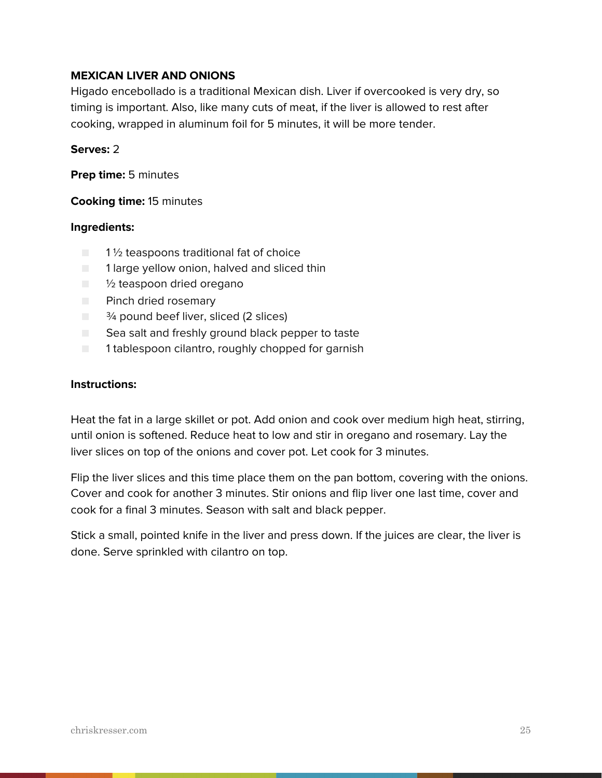#### **MEXICAN LIVER AND ONIONS**

Higado encebollado is a traditional Mexican dish. Liver if overcooked is very dry, so timing is important. Also, like many cuts of meat, if the liver is allowed to rest after cooking, wrapped in aluminum foil for 5 minutes, it will be more tender.

#### **Serves:** 2

**Prep time:** 5 minutes

#### **Cooking time:** 15 minutes

#### **Ingredients:**

- $\blacksquare$  1 % teaspoons traditional fat of choice
- 1 large yellow onion, halved and sliced thin
- $\blacksquare$   $\frac{1}{2}$  teaspoon dried oregano
- Pinch dried rosemary
- <sup>3</sup><sup>⁄4</sup> pound beef liver, sliced (2 slices)
- Sea salt and freshly ground black pepper to taste
- 1 tablespoon cilantro, roughly chopped for garnish

#### **Instructions:**

Heat the fat in a large skillet or pot. Add onion and cook over medium high heat, stirring, until onion is softened. Reduce heat to low and stir in oregano and rosemary. Lay the liver slices on top of the onions and cover pot. Let cook for 3 minutes.

Flip the liver slices and this time place them on the pan bottom, covering with the onions. Cover and cook for another 3 minutes. Stir onions and flip liver one last time, cover and cook for a final 3 minutes. Season with salt and black pepper.

Stick a small, pointed knife in the liver and press down. If the juices are clear, the liver is done. Serve sprinkled with cilantro on top.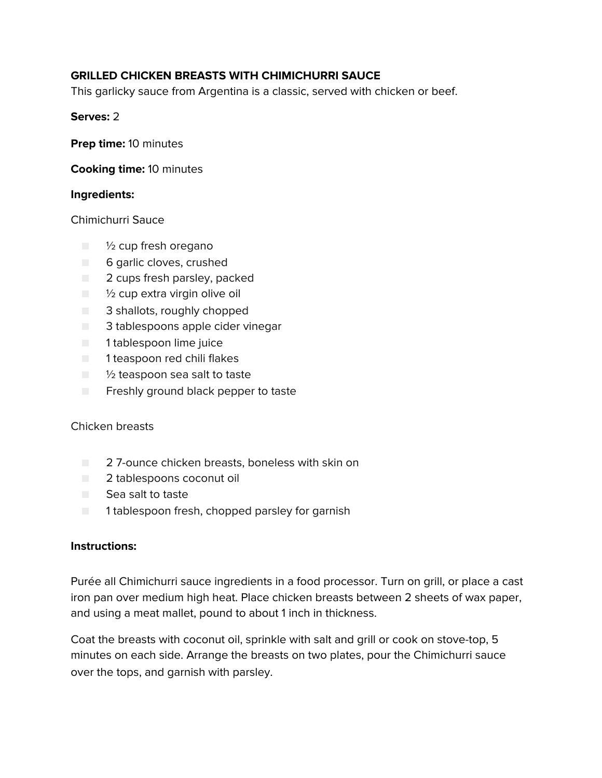# **GRILLED CHICKEN BREASTS WITH CHIMICHURRI SAUCE**

This garlicky sauce from Argentina is a classic, served with chicken or beef.

#### **Serves:** 2

**Prep time:** 10 minutes

**Cooking time:** 10 minutes

#### **Ingredients:**

#### Chimichurri Sauce

- $\blacksquare$   $\frac{1}{2}$  cup fresh oregano
- 6 garlic cloves, crushed
- 2 cups fresh parsley, packed
- ½ cup extra virgin olive oil
- 3 shallots, roughly chopped
- 3 tablespoons apple cider vinegar
- 1 tablespoon lime juice
- 1 teaspoon red chili flakes
- <sup>1</sup>/<sub>2</sub> teaspoon sea salt to taste
- Freshly ground black pepper to taste

#### Chicken breasts

- 27-ounce chicken breasts, boneless with skin on
- 2 tablespoons coconut oil
- Sea salt to taste
- 1 tablespoon fresh, chopped parsley for garnish

#### **Instructions:**

Purée all Chimichurri sauce ingredients in a food processor. Turn on grill, or place a cast iron pan over medium high heat. Place chicken breasts between 2 sheets of wax paper, and using a meat mallet, pound to about 1 inch in thickness.

Coat the breasts with coconut oil, sprinkle with salt and grill or cook on stove-top, 5 minutes on each side. Arrange the breasts on two plates, pour the Chimichurri sauce over the tops, and garnish with parsley.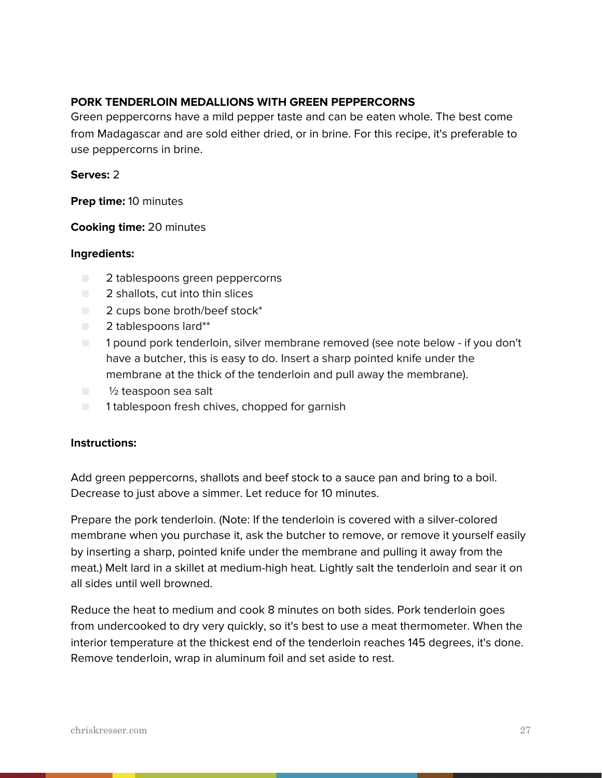#### **PORK TENDERLOIN MEDALLIONS WITH GREEN PEPPERCORNS**

Green peppercorns have a mild pepper taste and can be eaten whole. The best come from Madagascar and are sold either dried, or in brine. For this recipe, it's preferable to use peppercorns in brine.

#### **Serves:** 2

**Prep time:** 10 minutes

#### **Cooking time:** 20 minutes

#### **Ingredients:**

- 2 tablespoons green peppercorns
- 2 shallots, cut into thin slices
- $\Box$  2 cups bone broth/beef stock\*
- 2 tablespoons lard\*\*
- 1 pound pork tenderloin, silver membrane removed (see note below if you don't have a butcher, this is easy to do. Insert a sharp pointed knife under the membrane at the thick of the tenderloin and pull away the membrane).
- 1/2 teaspoon sea salt
- 1 tablespoon fresh chives, chopped for garnish

#### **Instructions:**

Add green peppercorns, shallots and beef stock to a sauce pan and bring to a boil. Decrease to just above a simmer. Let reduce for 10 minutes.

Prepare the pork tenderloin. (Note: If the tenderloin is covered with a silver-colored membrane when you purchase it, ask the butcher to remove, or remove it yourself easily by inserting a sharp, pointed knife under the membrane and pulling it away from the meat.) Melt lard in a skillet at medium-high heat. Lightly salt the tenderloin and sear it on all sides until well browned.

Reduce the heat to medium and cook 8 minutes on both sides. Pork tenderloin goes from undercooked to dry very quickly, so it's best to use a meat thermometer. When the interior temperature at the thickest end of the tenderloin reaches 145 degrees, it's done. Remove tenderloin, wrap in aluminum foil and set aside to rest.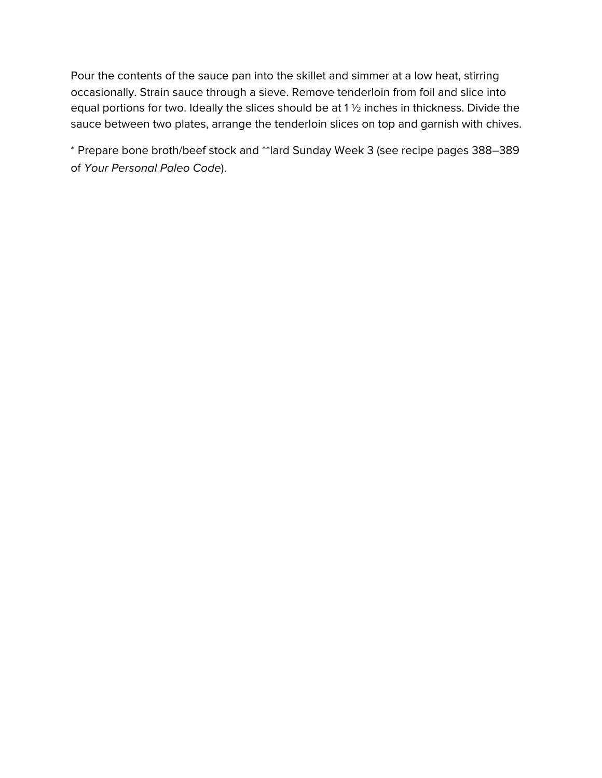Pour the contents of the sauce pan into the skillet and simmer at a low heat, stirring occasionally. Strain sauce through a sieve. Remove tenderloin from foil and slice into equal portions for two. Ideally the slices should be at 1 ½ inches in thickness. Divide the sauce between two plates, arrange the tenderloin slices on top and garnish with chives.

\* Prepare bone broth/beef stock and \*\*lard Sunday Week 3 (see recipe pages 388–389 of *Your Personal Paleo Code*).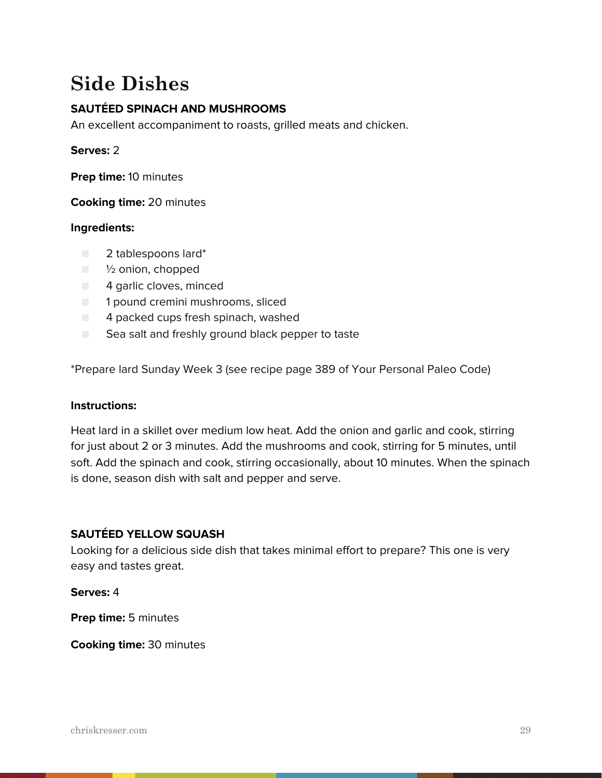# **Side Dishes**

# **SAUTÉED SPINACH AND MUSHROOMS**

An excellent accompaniment to roasts, grilled meats and chicken.

#### **Serves:** 2

**Prep time:** 10 minutes

**Cooking time:** 20 minutes

#### **Ingredients:**

- 2 tablespoons lard\*
- <sup>1</sup>/<sub>2</sub> onion, chopped
- 4 garlic cloves, minced
- 1 pound cremini mushrooms, sliced
- $\Box$  4 packed cups fresh spinach, washed
- Sea salt and freshly ground black pepper to taste

\*Prepare lard Sunday Week 3 (see recipe page 389 of Your Personal Paleo Code)

#### **Instructions:**

Heat lard in a skillet over medium low heat. Add the onion and garlic and cook, stirring for just about 2 or 3 minutes. Add the mushrooms and cook, stirring for 5 minutes, until soft. Add the spinach and cook, stirring occasionally, about 10 minutes. When the spinach is done, season dish with salt and pepper and serve.

#### **SAUTÉED YELLOW SQUASH**

Looking for a delicious side dish that takes minimal effort to prepare? This one is very easy and tastes great.

**Serves:** 4

**Prep time:** 5 minutes

**Cooking time:** 30 minutes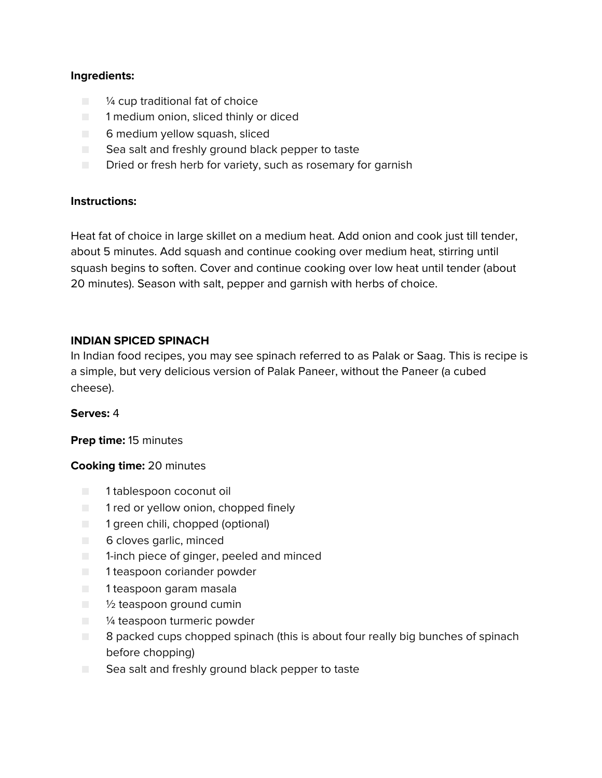## **Ingredients:**

- <sup>1/4</sup> cup traditional fat of choice
- 1 medium onion, sliced thinly or diced
- 6 medium yellow squash, sliced
- Sea salt and freshly ground black pepper to taste
- Dried or fresh herb for variety, such as rosemary for garnish

#### **Instructions:**

Heat fat of choice in large skillet on a medium heat. Add onion and cook just till tender, about 5 minutes. Add squash and continue cooking over medium heat, stirring until squash begins to soften. Cover and continue cooking over low heat until tender (about 20 minutes). Season with salt, pepper and garnish with herbs of choice.

#### **INDIAN SPICED SPINACH**

In Indian food recipes, you may see spinach referred to as Palak or Saag. This is recipe is a simple, but very delicious version of Palak Paneer, without the Paneer (a cubed cheese).

#### **Serves:** 4

**Prep time:** 15 minutes

#### **Cooking time:** 20 minutes

- 1 tablespoon coconut oil
- 1 red or yellow onion, chopped finely
- 1 green chili, chopped (optional)
- 6 cloves garlic, minced
- 1-inch piece of ginger, peeled and minced
- 1 teaspoon coriander powder
- 1 teaspoon garam masala
- ½ teaspoon ground cumin
- <sup>1/4</sup> teaspoon turmeric powder
- 8 packed cups chopped spinach (this is about four really big bunches of spinach before chopping)
- Sea salt and freshly ground black pepper to taste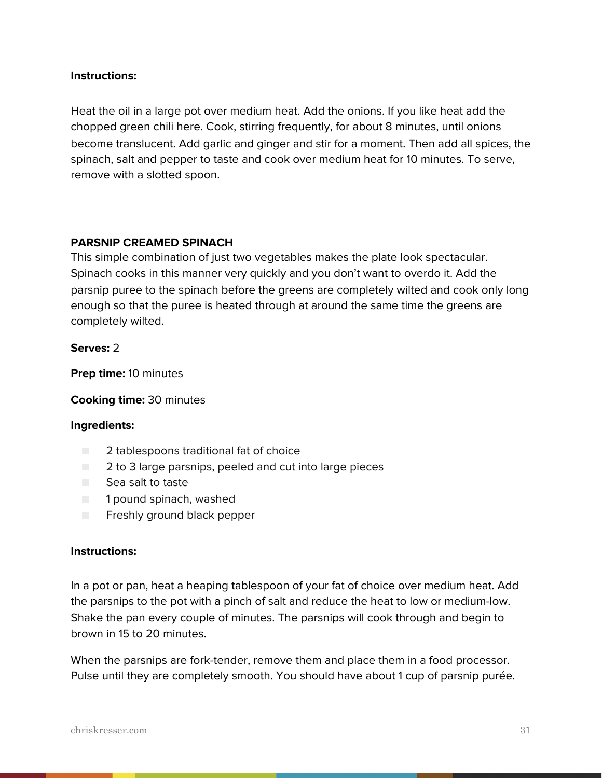#### **Instructions:**

Heat the oil in a large pot over medium heat. Add the onions. If you like heat add the chopped green chili here. Cook, stirring frequently, for about 8 minutes, until onions become translucent. Add garlic and ginger and stir for a moment. Then add all spices, the spinach, salt and pepper to taste and cook over medium heat for 10 minutes. To serve, remove with a slotted spoon.

#### **PARSNIP CREAMED SPINACH**

This simple combination of just two vegetables makes the plate look spectacular. Spinach cooks in this manner very quickly and you don't want to overdo it. Add the parsnip puree to the spinach before the greens are completely wilted and cook only long enough so that the puree is heated through at around the same time the greens are completely wilted.

#### **Serves:** 2

**Prep time:** 10 minutes

**Cooking time:** 30 minutes

#### **Ingredients:**

- 2 tablespoons traditional fat of choice
- 2 to 3 large parsnips, peeled and cut into large pieces
- Sea salt to taste
- 1 pound spinach, washed
- Freshly ground black pepper

#### **Instructions:**

In a pot or pan, heat a heaping tablespoon of your fat of choice over medium heat. Add the parsnips to the pot with a pinch of salt and reduce the heat to low or medium-low. Shake the pan every couple of minutes. The parsnips will cook through and begin to brown in 15 to 20 minutes.

When the parsnips are fork-tender, remove them and place them in a food processor. Pulse until they are completely smooth. You should have about 1 cup of parsnip purée.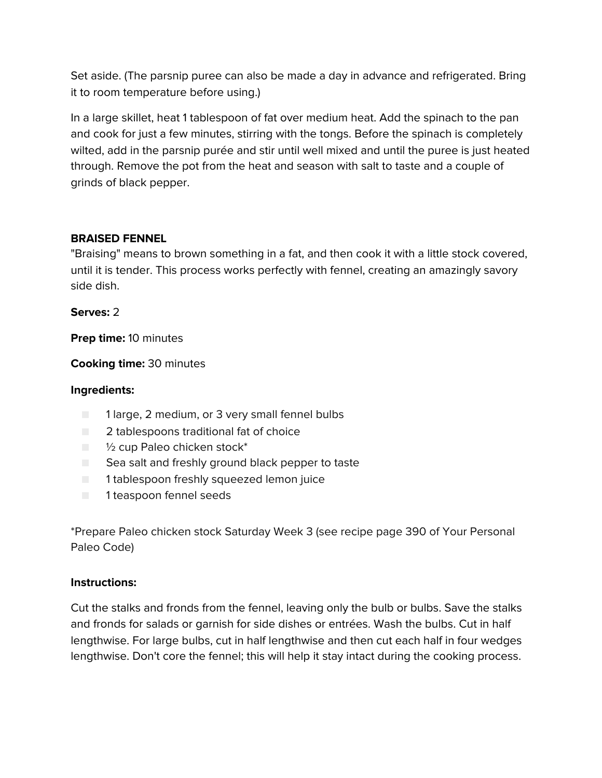Set aside. (The parsnip puree can also be made a day in advance and refrigerated. Bring it to room temperature before using.)

In a large skillet, heat 1 tablespoon of fat over medium heat. Add the spinach to the pan and cook for just a few minutes, stirring with the tongs. Before the spinach is completely wilted, add in the parsnip purée and stir until well mixed and until the puree is just heated through. Remove the pot from the heat and season with salt to taste and a couple of grinds of black pepper.

## **BRAISED FENNEL**

"Braising" means to brown something in a fat, and then cook it with a little stock covered, until it is tender. This process works perfectly with fennel, creating an amazingly savory side dish.

#### **Serves:** 2

**Prep time:** 10 minutes

**Cooking time:** 30 minutes

#### **Ingredients:**

- 1 large, 2 medium, or 3 very small fennel bulbs
- 2 tablespoons traditional fat of choice
- <sup>1</sup>/<sub>2</sub> cup Paleo chicken stock<sup>\*</sup>
- Sea salt and freshly ground black pepper to taste
- 1 tablespoon freshly squeezed lemon juice
- 1 teaspoon fennel seeds

\*Prepare Paleo chicken stock Saturday Week 3 (see recipe page 390 of Your Personal Paleo Code)

#### **Instructions:**

Cut the stalks and fronds from the fennel, leaving only the bulb or bulbs. Save the stalks and fronds for salads or garnish for side dishes or entrées. Wash the bulbs. Cut in half lengthwise. For large bulbs, cut in half lengthwise and then cut each half in four wedges lengthwise. Don't core the fennel; this will help it stay intact during the cooking process.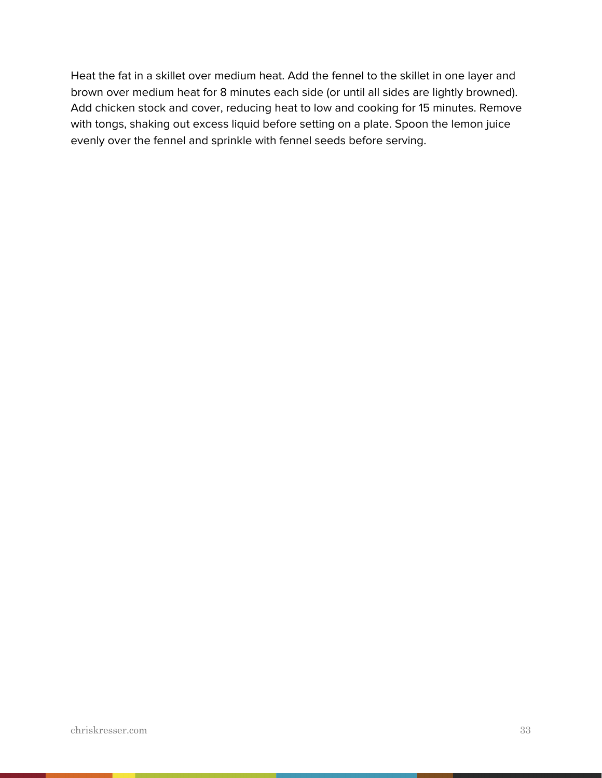Heat the fat in a skillet over medium heat. Add the fennel to the skillet in one layer and brown over medium heat for 8 minutes each side (or until all sides are lightly browned). Add chicken stock and cover, reducing heat to low and cooking for 15 minutes. Remove with tongs, shaking out excess liquid before setting on a plate. Spoon the lemon juice evenly over the fennel and sprinkle with fennel seeds before serving.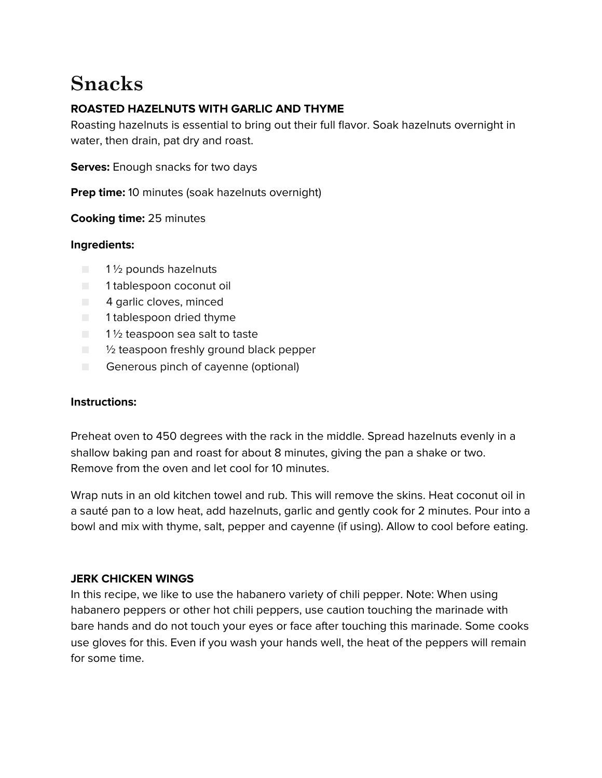# **Snacks**

# **ROASTED HAZELNUTS WITH GARLIC AND THYME**

Roasting hazelnuts is essential to bring out their full flavor. Soak hazelnuts overnight in water, then drain, pat dry and roast.

**Serves:** Enough snacks for two days

**Prep time:** 10 minutes (soak hazelnuts overnight)

**Cooking time:** 25 minutes

## **Ingredients:**

- 1<sup>1</sup>/<sub>2</sub> pounds hazelnuts
- 1 tablespoon coconut oil
- 4 garlic cloves, minced
- 1 tablespoon dried thyme
- $\blacksquare$  1 1/2 teaspoon sea salt to taste
- $\Box$   $\%$  teaspoon freshly ground black pepper
- Generous pinch of cayenne (optional)

#### **Instructions:**

Preheat oven to 450 degrees with the rack in the middle. Spread hazelnuts evenly in a shallow baking pan and roast for about 8 minutes, giving the pan a shake or two. Remove from the oven and let cool for 10 minutes.

Wrap nuts in an old kitchen towel and rub. This will remove the skins. Heat coconut oil in a sauté pan to a low heat, add hazelnuts, garlic and gently cook for 2 minutes. Pour into a bowl and mix with thyme, salt, pepper and cayenne (if using). Allow to cool before eating.

#### **JERK CHICKEN WINGS**

In this recipe, we like to use the habanero variety of chili pepper. Note: When using habanero peppers or other hot chili peppers, use caution touching the marinade with bare hands and do not touch your eyes or face after touching this marinade. Some cooks use gloves for this. Even if you wash your hands well, the heat of the peppers will remain for some time.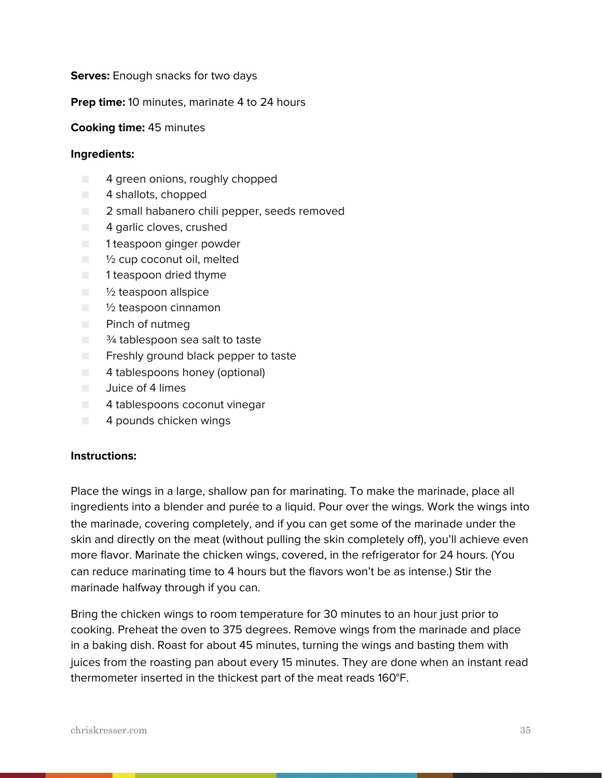#### **Serves:** Enough snacks for two days

#### **Prep time:** 10 minutes, marinate 4 to 24 hours

#### **Cooking time:** 45 minutes

#### **Ingredients:**

- 4 green onions, roughly chopped
- 4 shallots, chopped
- 2 small habanero chili pepper, seeds removed
- 4 garlic cloves, crushed
- 1 teaspoon ginger powder
- 1/2 cup coconut oil, melted
- 1 teaspoon dried thyme
- 1/2 teaspoon allspice
- <sup>1</sup>/<sub>2</sub> teaspoon cinnamon
- Pinch of nutmeg
- $\Box$   $\frac{3}{4}$  tablespoon sea salt to taste
- Freshly ground black pepper to taste
- 4 tablespoons honey (optional)
- Juice of 4 limes
- 4 tablespoons coconut vinegar
- 4 pounds chicken wings

#### **Instructions:**

Place the wings in a large, shallow pan for marinating. To make the marinade, place all ingredients into a blender and purée to a liquid. Pour over the wings. Work the wings into the marinade, covering completely, and if you can get some of the marinade under the skin and directly on the meat (without pulling the skin completely off), you'll achieve even more flavor. Marinate the chicken wings, covered, in the refrigerator for 24 hours. (You can reduce marinating time to 4 hours but the flavors won't be as intense.) Stir the marinade halfway through if you can.

Bring the chicken wings to room temperature for 30 minutes to an hour just prior to cooking. Preheat the oven to 375 degrees. Remove wings from the marinade and place in a baking dish. Roast for about 45 minutes, turning the wings and basting them with juices from the roasting pan about every 15 minutes. They are done when an instant read thermometer inserted in the thickest part of the meat reads 160°F.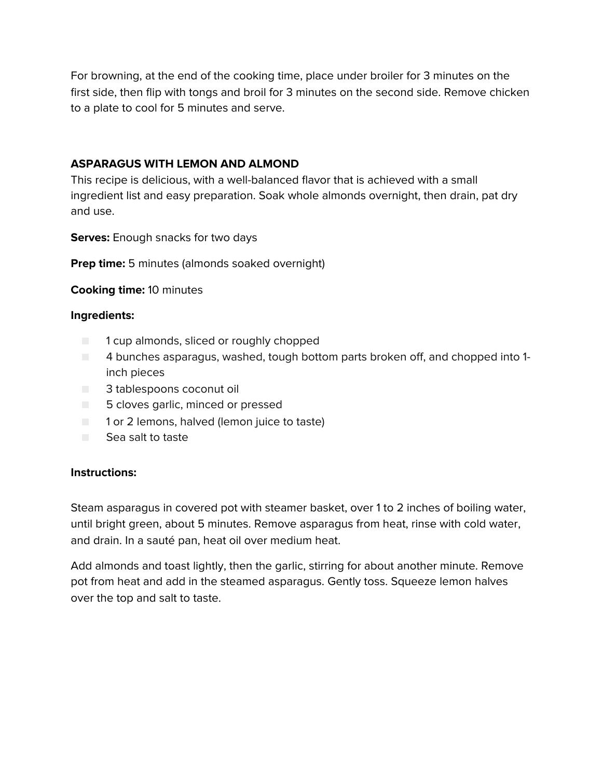For browning, at the end of the cooking time, place under broiler for 3 minutes on the first side, then flip with tongs and broil for 3 minutes on the second side. Remove chicken to a plate to cool for 5 minutes and serve.

#### **ASPARAGUS WITH LEMON AND ALMOND**

This recipe is delicious, with a well-balanced flavor that is achieved with a small ingredient list and easy preparation. Soak whole almonds overnight, then drain, pat dry and use.

**Serves:** Enough snacks for two days

**Prep time:** 5 minutes (almonds soaked overnight)

## **Cooking time:** 10 minutes

## **Ingredients:**

- 1 cup almonds, sliced or roughly chopped
- 4 bunches asparagus, washed, tough bottom parts broken off, and chopped into 1 inch pieces
- 3 tablespoons coconut oil
- 5 cloves garlic, minced or pressed
- 1 or 2 lemons, halved (lemon juice to taste)
- Sea salt to taste

#### **Instructions:**

Steam asparagus in covered pot with steamer basket, over 1 to 2 inches of boiling water, until bright green, about 5 minutes. Remove asparagus from heat, rinse with cold water, and drain. In a sauté pan, heat oil over medium heat.

Add almonds and toast lightly, then the garlic, stirring for about another minute. Remove pot from heat and add in the steamed asparagus. Gently toss. Squeeze lemon halves over the top and salt to taste.